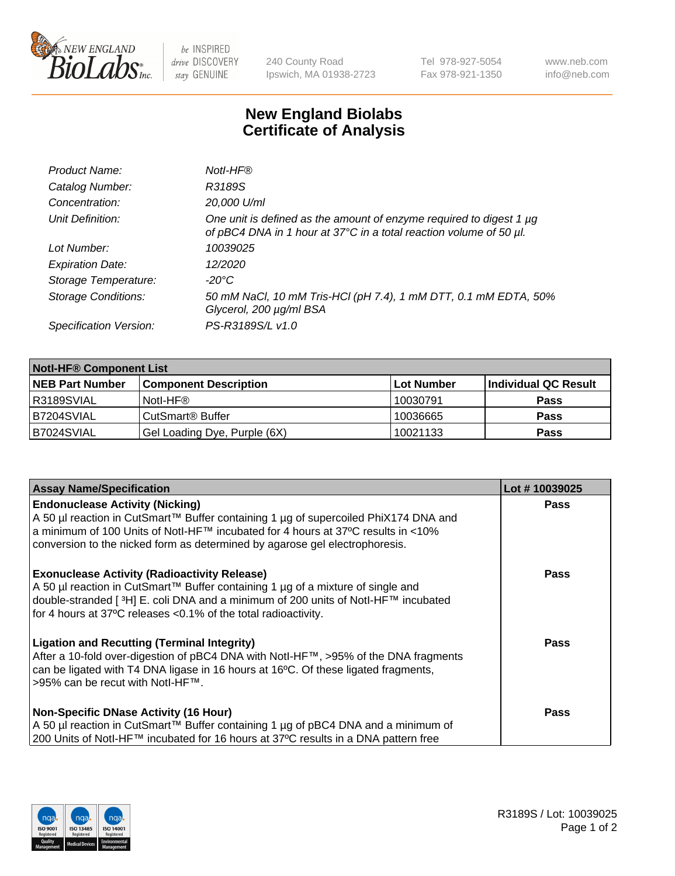

 $be$  INSPIRED drive DISCOVERY stay GENUINE

240 County Road Ipswich, MA 01938-2723 Tel 978-927-5054 Fax 978-921-1350 www.neb.com info@neb.com

## **New England Biolabs Certificate of Analysis**

| Product Name:              | Notl-HF®                                                                                                                                  |
|----------------------------|-------------------------------------------------------------------------------------------------------------------------------------------|
| Catalog Number:            | R3189S                                                                                                                                    |
| Concentration:             | 20,000 U/ml                                                                                                                               |
| Unit Definition:           | One unit is defined as the amount of enzyme required to digest 1 µg<br>of pBC4 DNA in 1 hour at 37°C in a total reaction volume of 50 µl. |
| Lot Number:                | 10039025                                                                                                                                  |
| <b>Expiration Date:</b>    | 12/2020                                                                                                                                   |
| Storage Temperature:       | -20°C                                                                                                                                     |
| <b>Storage Conditions:</b> | 50 mM NaCl, 10 mM Tris-HCl (pH 7.4), 1 mM DTT, 0.1 mM EDTA, 50%<br>Glycerol, 200 µg/ml BSA                                                |
| Specification Version:     | PS-R3189S/L v1.0                                                                                                                          |

| <b>Notl-HF® Component List</b> |                              |            |                      |  |  |
|--------------------------------|------------------------------|------------|----------------------|--|--|
| <b>NEB Part Number</b>         | <b>Component Description</b> | Lot Number | Individual QC Result |  |  |
| R3189SVIAL                     | Notl-HF®                     | 10030791   | <b>Pass</b>          |  |  |
| B7204SVIAL                     | CutSmart <sup>®</sup> Buffer | 10036665   | <b>Pass</b>          |  |  |
| B7024SVIAL                     | Gel Loading Dye, Purple (6X) | 10021133   | <b>Pass</b>          |  |  |

| <b>Assay Name/Specification</b>                                                                                                                                                                                                                                                                            | Lot #10039025 |
|------------------------------------------------------------------------------------------------------------------------------------------------------------------------------------------------------------------------------------------------------------------------------------------------------------|---------------|
| <b>Endonuclease Activity (Nicking)</b><br>A 50 µl reaction in CutSmart™ Buffer containing 1 µg of supercoiled PhiX174 DNA and<br> a minimum of 100 Units of Notl-HF™ incubated for 4 hours at 37°C results in <10%<br>conversion to the nicked form as determined by agarose gel electrophoresis.          | <b>Pass</b>   |
| <b>Exonuclease Activity (Radioactivity Release)</b><br>A 50 µl reaction in CutSmart™ Buffer containing 1 µg of a mixture of single and<br>double-stranded [ <sup>3</sup> H] E. coli DNA and a minimum of 200 units of Notl-HF™ incubated<br>for 4 hours at 37°C releases <0.1% of the total radioactivity. | Pass          |
| <b>Ligation and Recutting (Terminal Integrity)</b><br>After a 10-fold over-digestion of pBC4 DNA with Notl-HF™, >95% of the DNA fragments<br>can be ligated with T4 DNA ligase in 16 hours at 16 $\degree$ C. Of these ligated fragments,<br>1>95% can be recut with NotI-HF™.                             | Pass          |
| <b>Non-Specific DNase Activity (16 Hour)</b><br>A 50 µl reaction in CutSmart™ Buffer containing 1 µg of pBC4 DNA and a minimum of<br>200 Units of Notl-HF™ incubated for 16 hours at 37°C results in a DNA pattern free                                                                                    | Pass          |